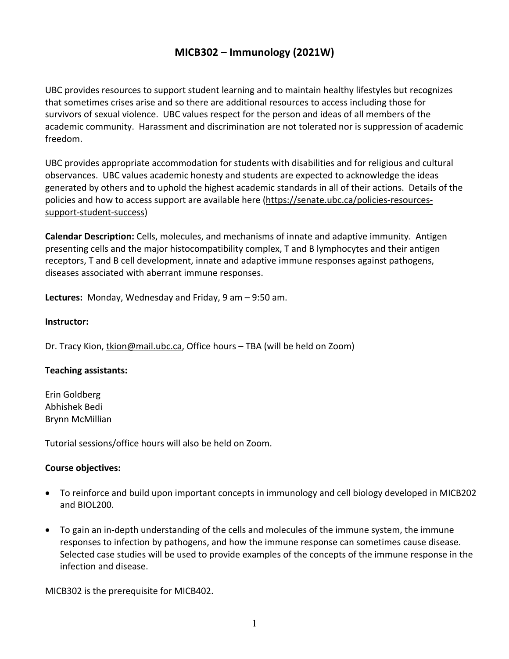# **MICB302 – Immunology (2021W)**

UBC provides resources to support student learning and to maintain healthy lifestyles but recognizes that sometimes crises arise and so there are additional resources to access including those for survivors of sexual violence. UBC values respect for the person and ideas of all members of the academic community. Harassment and discrimination are not tolerated nor is suppression of academic freedom.

UBC provides appropriate accommodation for students with disabilities and for religious and cultural observances. UBC values academic honesty and students are expected to acknowledge the ideas generated by others and to uphold the highest academic standards in all of their actions. Details of the policies and how to access support are available here (https://senate.ubc.ca/policies-resourcessupport-student-success)

**Calendar Description:** Cells, molecules, and mechanisms of innate and adaptive immunity. Antigen presenting cells and the major histocompatibility complex, T and B lymphocytes and their antigen receptors, T and B cell development, innate and adaptive immune responses against pathogens, diseases associated with aberrant immune responses.

**Lectures:** Monday, Wednesday and Friday, 9 am – 9:50 am.

#### **Instructor:**

Dr. Tracy Kion, tkion@mail.ubc.ca, Office hours – TBA (will be held on Zoom)

#### **Teaching assistants:**

Erin Goldberg Abhishek Bedi Brynn McMillian

Tutorial sessions/office hours will also be held on Zoom.

#### **Course objectives:**

- To reinforce and build upon important concepts in immunology and cell biology developed in MICB202 and BIOL200.
- To gain an in-depth understanding of the cells and molecules of the immune system, the immune responses to infection by pathogens, and how the immune response can sometimes cause disease. Selected case studies will be used to provide examples of the concepts of the immune response in the infection and disease.

MICB302 is the prerequisite for MICB402.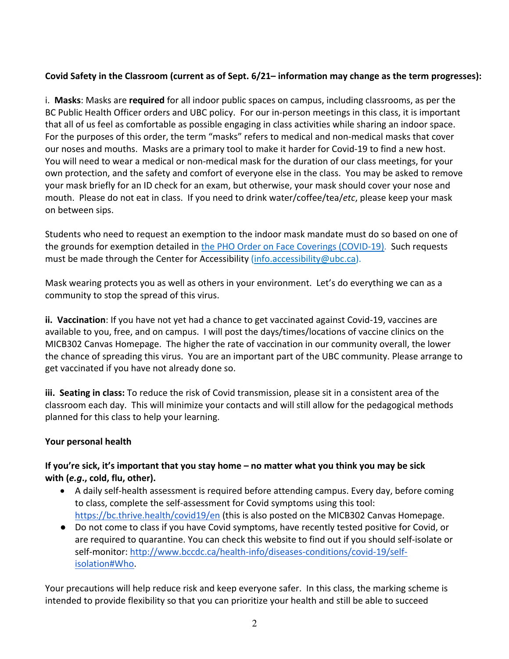## **Covid Safety in the Classroom (current as of Sept. 6/21– information may change as the term progresses):**

i. **Masks**: Masks are **required** for all indoor public spaces on campus, including classrooms, as per the BC Public Health Officer orders and UBC policy. For our in-person meetings in this class, it is important that all of us feel as comfortable as possible engaging in class activities while sharing an indoor space. For the purposes of this order, the term "masks" refers to medical and non-medical masks that cover our noses and mouths. Masks are a primary tool to make it harder for Covid-19 to find a new host. You will need to wear a medical or non-medical mask for the duration of our class meetings, for your own protection, and the safety and comfort of everyone else in the class. You may be asked to remove your mask briefly for an ID check for an exam, but otherwise, your mask should cover your nose and mouth. Please do not eat in class. If you need to drink water/coffee/tea/*etc*, please keep your mask on between sips.

Students who need to request an exemption to the indoor mask mandate must do so based on one of the grounds for exemption detailed in the PHO Order on Face Coverings (COVID-19). Such requests must be made through the Center for Accessibility (info.accessibility@ubc.ca).

Mask wearing protects you as well as others in your environment. Let's do everything we can as a community to stop the spread of this virus.

**ii. Vaccination**: If you have not yet had a chance to get vaccinated against Covid-19, vaccines are available to you, free, and on campus. I will post the days/times/locations of vaccine clinics on the MICB302 Canvas Homepage. The higher the rate of vaccination in our community overall, the lower the chance of spreading this virus. You are an important part of the UBC community. Please arrange to get vaccinated if you have not already done so.

**iii. Seating in class:** To reduce the risk of Covid transmission, please sit in a consistent area of the classroom each day. This will minimize your contacts and will still allow for the pedagogical methods planned for this class to help your learning.

## **Your personal health**

## **If you're sick, it's important that you stay home – no matter what you think you may be sick with (***e.g***., cold, flu, other).**

- A daily self-health assessment is required before attending campus. Every day, before coming to class, complete the self-assessment for Covid symptoms using this tool: https://bc.thrive.health/covid19/en (this is also posted on the MICB302 Canvas Homepage.
- Do not come to class if you have Covid symptoms, have recently tested positive for Covid, or are required to quarantine. You can check this website to find out if you should self-isolate or self-monitor: http://www.bccdc.ca/health-info/diseases-conditions/covid-19/selfisolation#Who.

Your precautions will help reduce risk and keep everyone safer. In this class, the marking scheme is intended to provide flexibility so that you can prioritize your health and still be able to succeed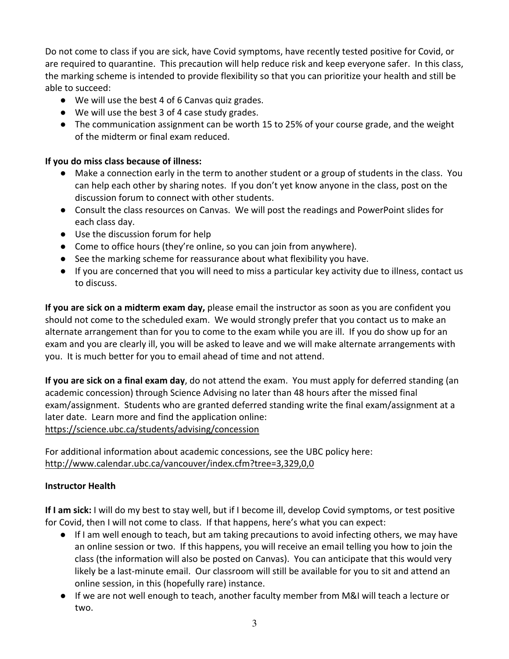Do not come to class if you are sick, have Covid symptoms, have recently tested positive for Covid, or are required to quarantine. This precaution will help reduce risk and keep everyone safer. In this class, the marking scheme is intended to provide flexibility so that you can prioritize your health and still be able to succeed:

- We will use the best 4 of 6 Canvas quiz grades.
- We will use the best 3 of 4 case study grades.
- The communication assignment can be worth 15 to 25% of your course grade, and the weight of the midterm or final exam reduced.

## **If you do miss class because of illness:**

- Make a connection early in the term to another student or a group of students in the class. You can help each other by sharing notes. If you don't yet know anyone in the class, post on the discussion forum to connect with other students.
- Consult the class resources on Canvas. We will post the readings and PowerPoint slides for each class day.
- Use the discussion forum for help
- Come to office hours (they're online, so you can join from anywhere).
- See the marking scheme for reassurance about what flexibility you have.
- If you are concerned that you will need to miss a particular key activity due to illness, contact us to discuss.

**If you are sick on a midterm exam day,** please email the instructor as soon as you are confident you should not come to the scheduled exam. We would strongly prefer that you contact us to make an alternate arrangement than for you to come to the exam while you are ill. If you do show up for an exam and you are clearly ill, you will be asked to leave and we will make alternate arrangements with you. It is much better for you to email ahead of time and not attend.

**If you are sick on a final exam day**, do not attend the exam. You must apply for deferred standing (an academic concession) through Science Advising no later than 48 hours after the missed final exam/assignment. Students who are granted deferred standing write the final exam/assignment at a later date. Learn more and find the application online: https://science.ubc.ca/students/advising/concession

For additional information about academic concessions, see the UBC policy here: http://www.calendar.ubc.ca/vancouver/index.cfm?tree=3,329,0,0

## **Instructor Health**

**If I am sick:** I will do my best to stay well, but if I become ill, develop Covid symptoms, or test positive for Covid, then I will not come to class. If that happens, here's what you can expect:

- If I am well enough to teach, but am taking precautions to avoid infecting others, we may have an online session or two. If this happens, you will receive an email telling you how to join the class (the information will also be posted on Canvas). You can anticipate that this would very likely be a last-minute email. Our classroom will still be available for you to sit and attend an online session, in this (hopefully rare) instance.
- If we are not well enough to teach, another faculty member from M&I will teach a lecture or two.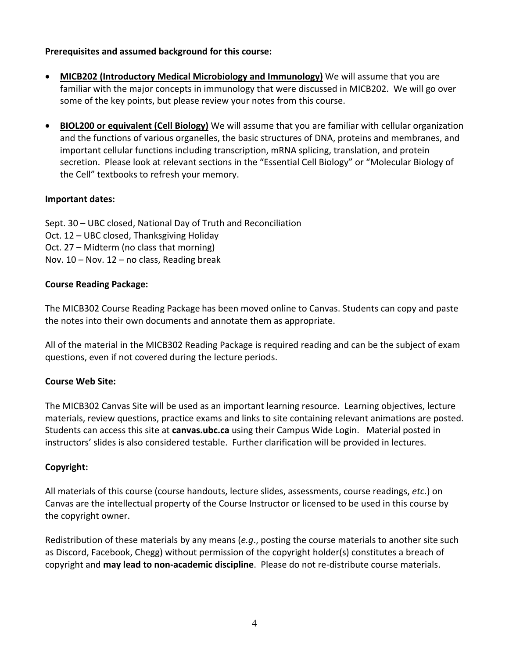#### **Prerequisites and assumed background for this course:**

- **MICB202 (Introductory Medical Microbiology and Immunology)** We will assume that you are familiar with the major concepts in immunology that were discussed in MICB202. We will go over some of the key points, but please review your notes from this course.
- **BIOL200 or equivalent (Cell Biology)** We will assume that you are familiar with cellular organization and the functions of various organelles, the basic structures of DNA, proteins and membranes, and important cellular functions including transcription, mRNA splicing, translation, and protein secretion. Please look at relevant sections in the "Essential Cell Biology" or "Molecular Biology of the Cell" textbooks to refresh your memory.

## **Important dates:**

Sept. 30 – UBC closed, National Day of Truth and Reconciliation Oct. 12 – UBC closed, Thanksgiving Holiday Oct. 27 – Midterm (no class that morning) Nov.  $10 -$  Nov.  $12 -$  no class, Reading break

## **Course Reading Package:**

The MICB302 Course Reading Package has been moved online to Canvas. Students can copy and paste the notes into their own documents and annotate them as appropriate.

All of the material in the MICB302 Reading Package is required reading and can be the subject of exam questions, even if not covered during the lecture periods.

## **Course Web Site:**

The MICB302 Canvas Site will be used as an important learning resource. Learning objectives, lecture materials, review questions, practice exams and links to site containing relevant animations are posted. Students can access this site at **canvas.ubc.ca** using their Campus Wide Login. Material posted in instructors' slides is also considered testable. Further clarification will be provided in lectures.

## **Copyright:**

All materials of this course (course handouts, lecture slides, assessments, course readings, *etc*.) on Canvas are the intellectual property of the Course Instructor or licensed to be used in this course by the copyright owner.

Redistribution of these materials by any means (*e.g*., posting the course materials to another site such as Discord, Facebook, Chegg) without permission of the copyright holder(s) constitutes a breach of copyright and **may lead to non-academic discipline**. Please do not re-distribute course materials.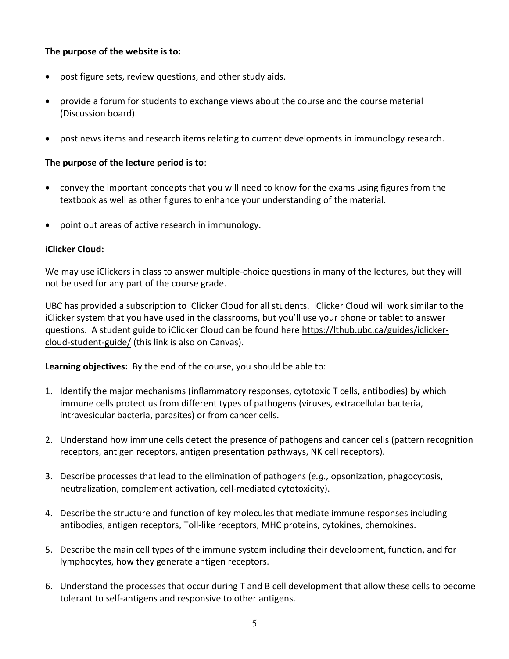#### **The purpose of the website is to:**

- post figure sets, review questions, and other study aids.
- provide a forum for students to exchange views about the course and the course material (Discussion board).
- post news items and research items relating to current developments in immunology research.

#### **The purpose of the lecture period is to**:

- convey the important concepts that you will need to know for the exams using figures from the textbook as well as other figures to enhance your understanding of the material.
- point out areas of active research in immunology.

#### **iClicker Cloud:**

We may use iClickers in class to answer multiple-choice questions in many of the lectures, but they will not be used for any part of the course grade.

UBC has provided a subscription to iClicker Cloud for all students. iClicker Cloud will work similar to the iClicker system that you have used in the classrooms, but you'll use your phone or tablet to answer questions. A student guide to iClicker Cloud can be found here https://lthub.ubc.ca/guides/iclickercloud-student-guide/ (this link is also on Canvas).

**Learning objectives:** By the end of the course, you should be able to:

- 1. Identify the major mechanisms (inflammatory responses, cytotoxic T cells, antibodies) by which immune cells protect us from different types of pathogens (viruses, extracellular bacteria, intravesicular bacteria, parasites) or from cancer cells.
- 2. Understand how immune cells detect the presence of pathogens and cancer cells (pattern recognition receptors, antigen receptors, antigen presentation pathways, NK cell receptors).
- 3. Describe processes that lead to the elimination of pathogens (*e.g.,* opsonization, phagocytosis, neutralization, complement activation, cell-mediated cytotoxicity).
- 4. Describe the structure and function of key molecules that mediate immune responses including antibodies, antigen receptors, Toll-like receptors, MHC proteins, cytokines, chemokines.
- 5. Describe the main cell types of the immune system including their development, function, and for lymphocytes, how they generate antigen receptors.
- 6. Understand the processes that occur during T and B cell development that allow these cells to become tolerant to self-antigens and responsive to other antigens.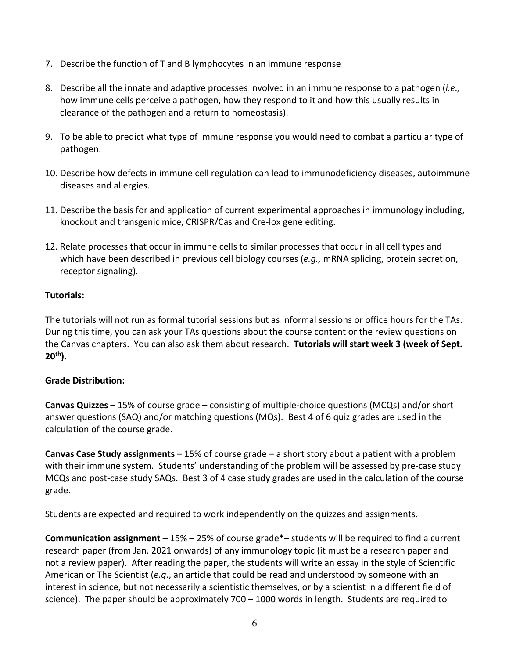- 7. Describe the function of T and B lymphocytes in an immune response
- 8. Describe all the innate and adaptive processes involved in an immune response to a pathogen (*i.e.,* how immune cells perceive a pathogen, how they respond to it and how this usually results in clearance of the pathogen and a return to homeostasis).
- 9. To be able to predict what type of immune response you would need to combat a particular type of pathogen.
- 10. Describe how defects in immune cell regulation can lead to immunodeficiency diseases, autoimmune diseases and allergies.
- 11. Describe the basis for and application of current experimental approaches in immunology including, knockout and transgenic mice, CRISPR/Cas and Cre-lox gene editing.
- 12. Relate processes that occur in immune cells to similar processes that occur in all cell types and which have been described in previous cell biology courses (*e.g.,* mRNA splicing, protein secretion, receptor signaling).

#### **Tutorials:**

The tutorials will not run as formal tutorial sessions but as informal sessions or office hours for the TAs. During this time, you can ask your TAs questions about the course content or the review questions on the Canvas chapters. You can also ask them about research. **Tutorials will start week 3 (week of Sept. 20th).**

#### **Grade Distribution:**

**Canvas Quizzes** – 15% of course grade – consisting of multiple-choice questions (MCQs) and/or short answer questions (SAQ) and/or matching questions (MQs). Best 4 of 6 quiz grades are used in the calculation of the course grade.

**Canvas Case Study assignments** – 15% of course grade – a short story about a patient with a problem with their immune system. Students' understanding of the problem will be assessed by pre-case study MCQs and post-case study SAQs. Best 3 of 4 case study grades are used in the calculation of the course grade.

Students are expected and required to work independently on the quizzes and assignments.

**Communication assignment** – 15% – 25% of course grade\*– students will be required to find a current research paper (from Jan. 2021 onwards) of any immunology topic (it must be a research paper and not a review paper). After reading the paper, the students will write an essay in the style of Scientific American or The Scientist (*e.g*., an article that could be read and understood by someone with an interest in science, but not necessarily a scientistic themselves, or by a scientist in a different field of science). The paper should be approximately 700 – 1000 words in length. Students are required to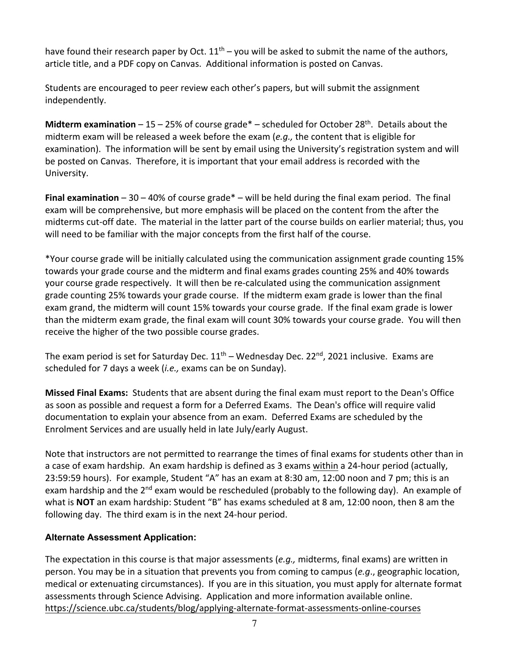have found their research paper by Oct.  $11<sup>th</sup>$  – you will be asked to submit the name of the authors, article title, and a PDF copy on Canvas. Additional information is posted on Canvas.

Students are encouraged to peer review each other's papers, but will submit the assignment independently.

**Midterm examination** – 15 – 25% of course grade\* – scheduled for October 28th. Details about the midterm exam will be released a week before the exam (*e.g.,* the content that is eligible for examination). The information will be sent by email using the University's registration system and will be posted on Canvas. Therefore, it is important that your email address is recorded with the University.

**Final examination** – 30 – 40% of course grade\* – will be held during the final exam period. The final exam will be comprehensive, but more emphasis will be placed on the content from the after the midterms cut-off date. The material in the latter part of the course builds on earlier material; thus, you will need to be familiar with the major concepts from the first half of the course.

\*Your course grade will be initially calculated using the communication assignment grade counting 15% towards your grade course and the midterm and final exams grades counting 25% and 40% towards your course grade respectively. It will then be re-calculated using the communication assignment grade counting 25% towards your grade course. If the midterm exam grade is lower than the final exam grand, the midterm will count 15% towards your course grade. If the final exam grade is lower than the midterm exam grade, the final exam will count 30% towards your course grade. You will then receive the higher of the two possible course grades.

The exam period is set for Saturday Dec.  $11<sup>th</sup>$  – Wednesday Dec. 22<sup>nd</sup>, 2021 inclusive. Exams are scheduled for 7 days a week (*i.e.,* exams can be on Sunday).

**Missed Final Exams:** Students that are absent during the final exam must report to the Dean's Office as soon as possible and request a form for a Deferred Exams. The Dean's office will require valid documentation to explain your absence from an exam. Deferred Exams are scheduled by the Enrolment Services and are usually held in late July/early August.

Note that instructors are not permitted to rearrange the times of final exams for students other than in a case of exam hardship. An exam hardship is defined as 3 exams within a 24-hour period (actually, 23:59:59 hours). For example, Student "A" has an exam at 8:30 am, 12:00 noon and 7 pm; this is an exam hardship and the  $2^{nd}$  exam would be rescheduled (probably to the following day). An example of what is **NOT** an exam hardship: Student "B" has exams scheduled at 8 am, 12:00 noon, then 8 am the following day. The third exam is in the next 24-hour period.

## **Alternate Assessment Application:**

The expectation in this course is that major assessments (*e.g.,* midterms, final exams) are written in person. You may be in a situation that prevents you from coming to campus (*e.g*., geographic location, medical or extenuating circumstances). If you are in this situation, you must apply for alternate format assessments through Science Advising. Application and more information available online. https://science.ubc.ca/students/blog/applying-alternate-format-assessments-online-courses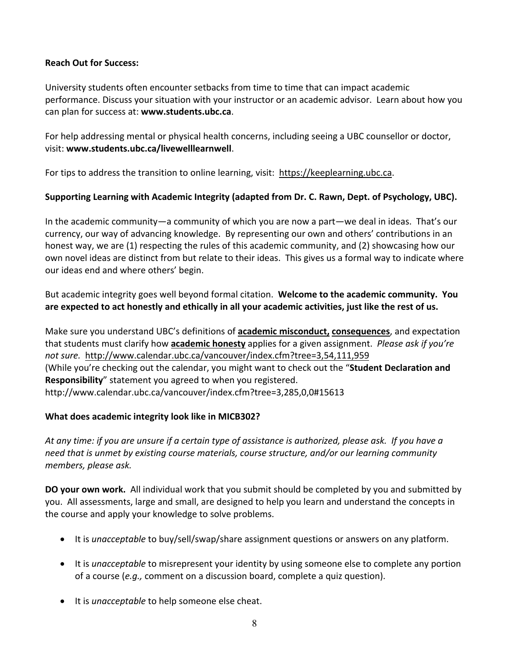### **Reach Out for Success:**

University students often encounter setbacks from time to time that can impact academic performance. Discuss your situation with your instructor or an academic advisor. Learn about how you can plan for success at: **www.students.ubc.ca**.

For help addressing mental or physical health concerns, including seeing a UBC counsellor or doctor, visit: **www.students.ubc.ca/livewelllearnwell**.

For tips to address the transition to online learning, visit: https://keeplearning.ubc.ca.

## **Supporting Learning with Academic Integrity (adapted from Dr. C. Rawn, Dept. of Psychology, UBC).**

In the academic community—a community of which you are now a part—we deal in ideas. That's our currency, our way of advancing knowledge. By representing our own and others' contributions in an honest way, we are (1) respecting the rules of this academic community, and (2) showcasing how our own novel ideas are distinct from but relate to their ideas. This gives us a formal way to indicate where our ideas end and where others' begin.

But academic integrity goes well beyond formal citation. **Welcome to the academic community. You are expected to act honestly and ethically in all your academic activities, just like the rest of us.** 

Make sure you understand UBC's definitions of **academic misconduct, consequences**, and expectation that students must clarify how **academic honesty** applies for a given assignment. *Please ask if you're not sure.* http://www.calendar.ubc.ca/vancouver/index.cfm?tree=3,54,111,959 (While you're checking out the calendar, you might want to check out the "**Student Declaration and Responsibility**" statement you agreed to when you registered. http://www.calendar.ubc.ca/vancouver/index.cfm?tree=3,285,0,0#15613

## **What does academic integrity look like in MICB302?**

*At any time: if you are unsure if a certain type of assistance is authorized, please ask. If you have a need that is unmet by existing course materials, course structure, and/or our learning community members, please ask.* 

**DO your own work.** All individual work that you submit should be completed by you and submitted by you. All assessments, large and small, are designed to help you learn and understand the concepts in the course and apply your knowledge to solve problems.

- It is *unacceptable* to buy/sell/swap/share assignment questions or answers on any platform.
- It is *unacceptable* to misrepresent your identity by using someone else to complete any portion of a course (*e.g.,* comment on a discussion board, complete a quiz question).
- It is *unacceptable* to help someone else cheat.